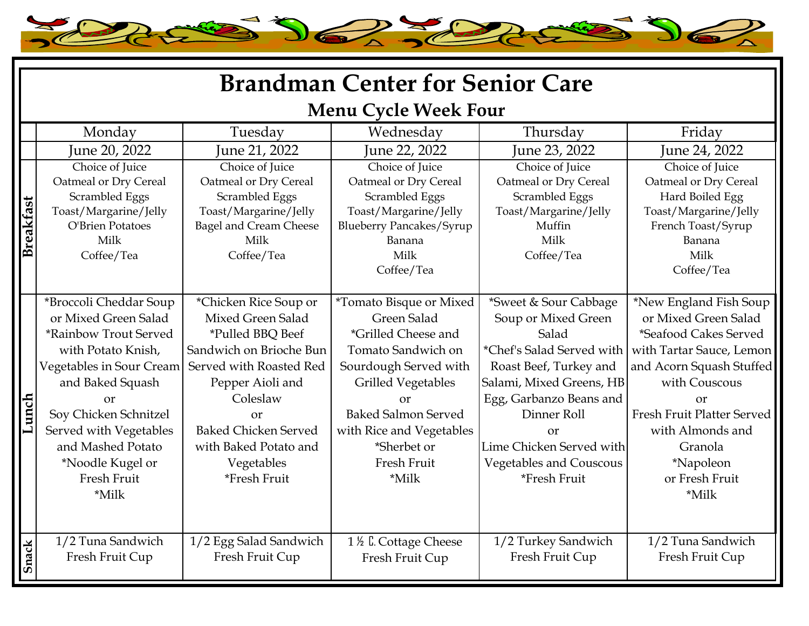

| <b>Brandman Center for Senior Care</b> |  |  |  |
|----------------------------------------|--|--|--|
|                                        |  |  |  |

## **Menu Cycle Week Four**

|                  | Monday<br>Tuesday        |                               | Wednesday                       | Thursday                       | Friday                                               |
|------------------|--------------------------|-------------------------------|---------------------------------|--------------------------------|------------------------------------------------------|
|                  | June 20, 2022            | June 21, 2022                 | June 22, 2022                   | June 23, 2022                  | June 24, 2022                                        |
| <b>Breakfast</b> | Choice of Juice          | Choice of Juice               | Choice of Juice                 | Choice of Juice                | Choice of Juice                                      |
|                  | Oatmeal or Dry Cereal    | Oatmeal or Dry Cereal         | Oatmeal or Dry Cereal           | Oatmeal or Dry Cereal          | Oatmeal or Dry Cereal                                |
|                  | Scrambled Eggs           | Scrambled Eggs                | Scrambled Eggs                  | Scrambled Eggs                 | Hard Boiled Egg                                      |
|                  | Toast/Margarine/Jelly    | Toast/Margarine/Jelly         | Toast/Margarine/Jelly           | Toast/Margarine/Jelly          | Toast/Margarine/Jelly                                |
|                  | <b>O'Brien Potatoes</b>  | <b>Bagel and Cream Cheese</b> | <b>Blueberry Pancakes/Syrup</b> | Muffin                         | French Toast/Syrup                                   |
|                  | Milk                     | Milk                          | Banana                          | Milk                           | Banana                                               |
|                  | Coffee/Tea               | Coffee/Tea                    | Milk                            | Coffee/Tea                     | Milk                                                 |
|                  |                          |                               | Coffee/Tea                      |                                | Coffee/Tea                                           |
|                  |                          |                               |                                 |                                |                                                      |
| Lunch            | *Broccoli Cheddar Soup   | *Chicken Rice Soup or         | <i>*Tomato Bisque or Mixed</i>  | *Sweet & Sour Cabbage          | *New England Fish Soup                               |
|                  | or Mixed Green Salad     | Mixed Green Salad             | Green Salad                     | Soup or Mixed Green            | or Mixed Green Salad                                 |
|                  | *Rainbow Trout Served    | *Pulled BBQ Beef              | *Grilled Cheese and             | Salad                          | *Seafood Cakes Served                                |
|                  | with Potato Knish,       | Sandwich on Brioche Bun       | Tomato Sandwich on              |                                | *Chef's Salad Served with   with Tartar Sauce, Lemon |
|                  | Vegetables in Sour Cream | Served with Roasted Red       | Sourdough Served with           | Roast Beef, Turkey and         | and Acorn Squash Stuffed                             |
|                  | and Baked Squash         | Pepper Aioli and              | <b>Grilled Vegetables</b>       | Salami, Mixed Greens, HB       | with Couscous                                        |
|                  | <b>or</b>                | Coleslaw                      | <b>or</b>                       | Egg, Garbanzo Beans and        | or                                                   |
|                  | Soy Chicken Schnitzel    | $\alpha$                      | <b>Baked Salmon Served</b>      | Dinner Roll                    | Fresh Fruit Platter Served                           |
|                  | Served with Vegetables   | <b>Baked Chicken Served</b>   | with Rice and Vegetables        | or                             | with Almonds and                                     |
|                  | and Mashed Potato        | with Baked Potato and         | *Sherbet or                     | Lime Chicken Served with       | Granola                                              |
|                  | *Noodle Kugel or         | Vegetables                    | Fresh Fruit                     | <b>Vegetables and Couscous</b> | *Napoleon                                            |
|                  | Fresh Fruit              | *Fresh Fruit                  | *Milk                           | *Fresh Fruit                   | or Fresh Fruit                                       |
|                  | *Milk                    |                               |                                 |                                | *Milk                                                |
|                  |                          |                               |                                 |                                |                                                      |
|                  |                          |                               |                                 |                                |                                                      |
|                  | 1/2 Tuna Sandwich        | 1/2 Egg Salad Sandwich        | 1 ½ L. Cottage Cheese           | 1/2 Turkey Sandwich            | 1/2 Tuna Sandwich                                    |
| Snack            | Fresh Fruit Cup          | Fresh Fruit Cup               | Fresh Fruit Cup                 | Fresh Fruit Cup                | Fresh Fruit Cup                                      |
|                  |                          |                               |                                 |                                |                                                      |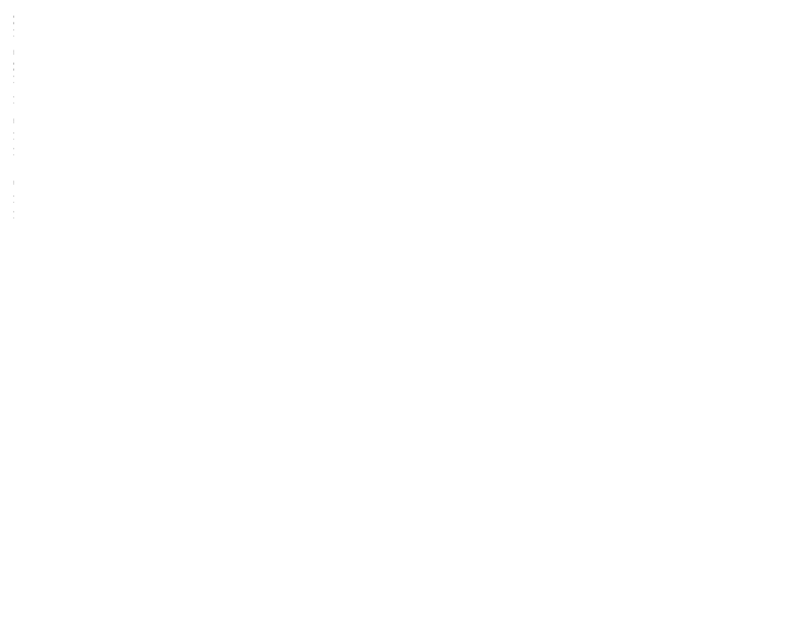**Wee DWee W W W W**

**DBW**